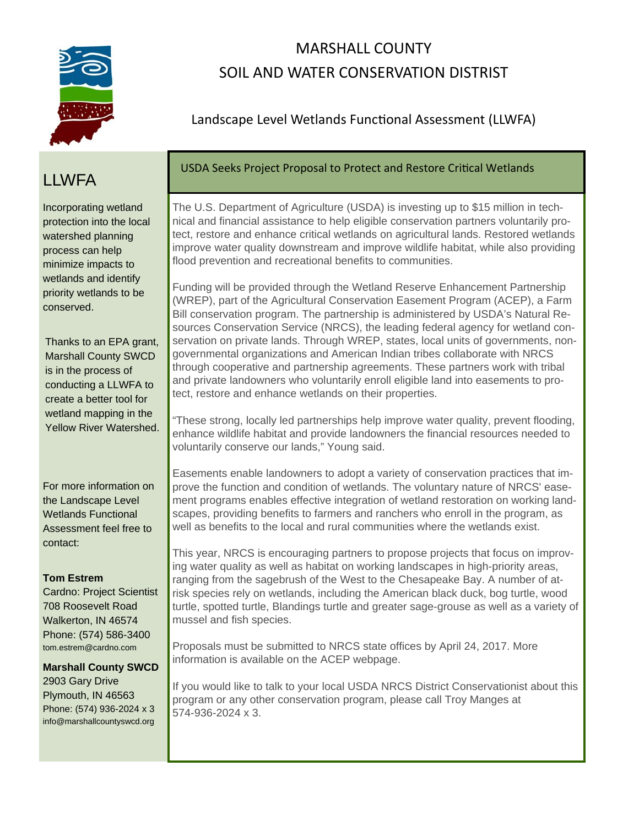

# MARSHALL COUNTY SOIL AND WATER CONSERVATION DISTRIST

### Landscape Level Wetlands Functional Assessment (LLWFA)

# **LLWFA**

Incorporating wetland protection into the local watershed planning process can help minimize impacts to wetlands and identify priority wetlands to be conserved.

Thanks to an EPA grant, Marshall County SWCD is in the process of conducting a LLWFA to create a better tool for wetland mapping in the Yellow River Watershed.

For more information on the Landscape Level Wetlands Functional Assessment feel free to contact:

#### **Tom Estrem**

Cardno: Project Scientist 708 Roosevelt Road Walkerton, IN 46574 Phone: (574) 586-3400 tom.estrem@cardno.com

**Marshall County SWCD**  2903 Gary Drive Plymouth, IN 46563 Phone: (574) 936-2024 x 3 info@marshallcountyswcd.org

### USDA Seeks Project Proposal to Protect and Restore Critical Wetlands

The U.S. Department of Agriculture (USDA) is investing up to \$15 million in technical and financial assistance to help eligible conservation partners voluntarily protect, restore and enhance critical wetlands on agricultural lands. Restored wetlands improve water quality downstream and improve wildlife habitat, while also providing flood prevention and recreational benefits to communities.

Funding will be provided through the Wetland Reserve Enhancement Partnership (WREP), part of the Agricultural Conservation Easement Program (ACEP), a Farm Bill conservation program. The partnership is administered by USDA's Natural Resources Conservation Service (NRCS), the leading federal agency for wetland conservation on private lands. Through WREP, states, local units of governments, nongovernmental organizations and American Indian tribes collaborate with NRCS through cooperative and partnership agreements. These partners work with tribal and private landowners who voluntarily enroll eligible land into easements to protect, restore and enhance wetlands on their properties.

"These strong, locally led partnerships help improve water quality, prevent flooding, enhance wildlife habitat and provide landowners the financial resources needed to voluntarily conserve our lands," Young said.

Easements enable landowners to adopt a variety of conservation practices that improve the function and condition of wetlands. The voluntary nature of NRCS' easement programs enables effective integration of wetland restoration on working landscapes, providing benefits to farmers and ranchers who enroll in the program, as well as benefits to the local and rural communities where the wetlands exist.

This year, NRCS is encouraging partners to propose projects that focus on improving water quality as well as habitat on working landscapes in high-priority areas, ranging from the sagebrush of the West to the Chesapeake Bay. A number of atrisk species rely on wetlands, including the American black duck, bog turtle, wood turtle, spotted turtle, Blandings turtle and greater sage-grouse as well as a variety of mussel and fish species.

Proposals must be submitted to NRCS state offices by April 24, 2017. More information is available on the ACEP webpage.

If you would like to talk to your local USDA NRCS District Conservationist about this program or any other conservation program, please call Troy Manges at 574-936-2024 x 3.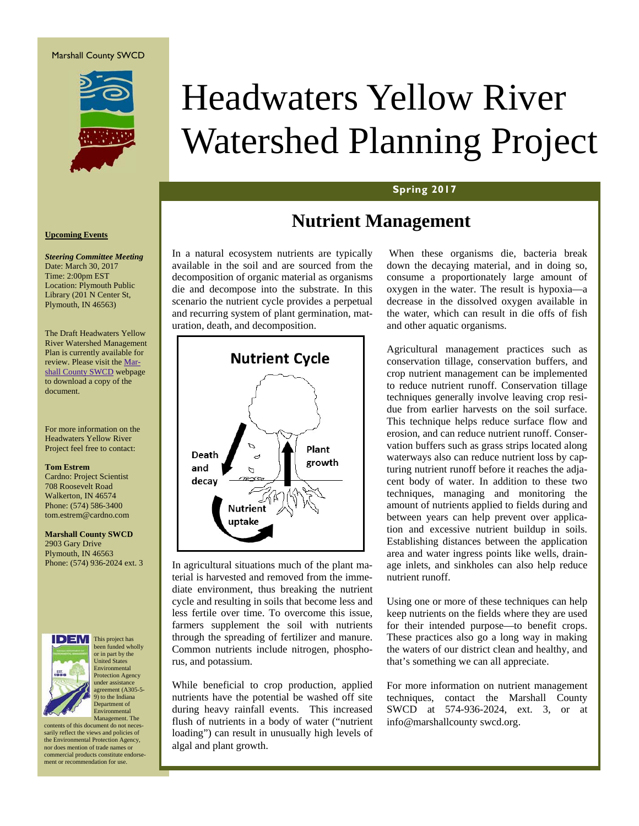

# Headwaters Yellow River Watershed Planning Project

#### **Spring 2017**

## **Nutrient Management**

In a natural ecosystem nutrients are typically available in the soil and are sourced from the decomposition of organic material as organisms die and decompose into the substrate. In this scenario the nutrient cycle provides a perpetual and recurring system of plant germination, maturation, death, and decomposition.



In agricultural situations much of the plant material is harvested and removed from the immediate environment, thus breaking the nutrient cycle and resulting in soils that become less and less fertile over time. To overcome this issue, farmers supplement the soil with nutrients through the spreading of fertilizer and manure. Common nutrients include nitrogen, phosphorus, and potassium.

While beneficial to crop production, applied nutrients have the potential be washed off site during heavy rainfall events. This increased flush of nutrients in a body of water ("nutrient loading") can result in unusually high levels of algal and plant growth.

When these organisms die, bacteria break down the decaying material, and in doing so, consume a proportionately large amount of oxygen in the water. The result is hypoxia—a decrease in the dissolved oxygen available in the water, which can result in die offs of fish and other aquatic organisms.

Agricultural management practices such as conservation tillage, conservation buffers, and crop nutrient management can be implemented to reduce nutrient runoff. Conservation tillage techniques generally involve leaving crop residue from earlier harvests on the soil surface. This technique helps reduce surface flow and erosion, and can reduce nutrient runoff. Conservation buffers such as grass strips located along waterways also can reduce nutrient loss by capturing nutrient runoff before it reaches the adjacent body of water. In addition to these two techniques, managing and monitoring the amount of nutrients applied to fields during and between years can help prevent over application and excessive nutrient buildup in soils. Establishing distances between the application area and water ingress points like wells, drainage inlets, and sinkholes can also help reduce nutrient runoff.

Using one or more of these techniques can help keep nutrients on the fields where they are used for their intended purpose—to benefit crops. These practices also go a long way in making the waters of our district clean and healthy, and that's something we can all appreciate.

For more information on nutrient management techniques, contact the Marshall County SWCD at 574-936-2024, ext. 3, or at info@marshallcounty swcd.org.

#### **Upcoming Events**

#### *Steering Committee Meeting*  Date: March 30, 2017 Time: 2:00pm EST Location: Plymouth Public Library (201 N Center St, Plymouth, IN 46563)

The Draft Headwaters Yellow River Watershed Management Plan is currently available for review. Please visit the Marshall County SWCD webpage to download a copy of the document.

For more information on the Headwaters Yellow River Project feel free to contact:

#### **Tom Estrem**

Cardno: Project Scientist 708 Roosevelt Road Walkerton, IN 46574 Phone: (574) 586-3400 tom.estrem@cardno.com

**Marshall County SWCD**  2903 Gary Drive Plymouth, IN 46563 Phone: (574) 936-2024 ext. 3



This project has been funded wholly or in part by the United States Environmental Protection Agency under assistane agreement (A305-5- 9) to the Indiana Department of Environmental

Management. The contents of this document do not necessarily reflect the views and policies of the Environmental Protection Agency, nor does mention of trade names or commercial products constitute endorsement or recommendation for use.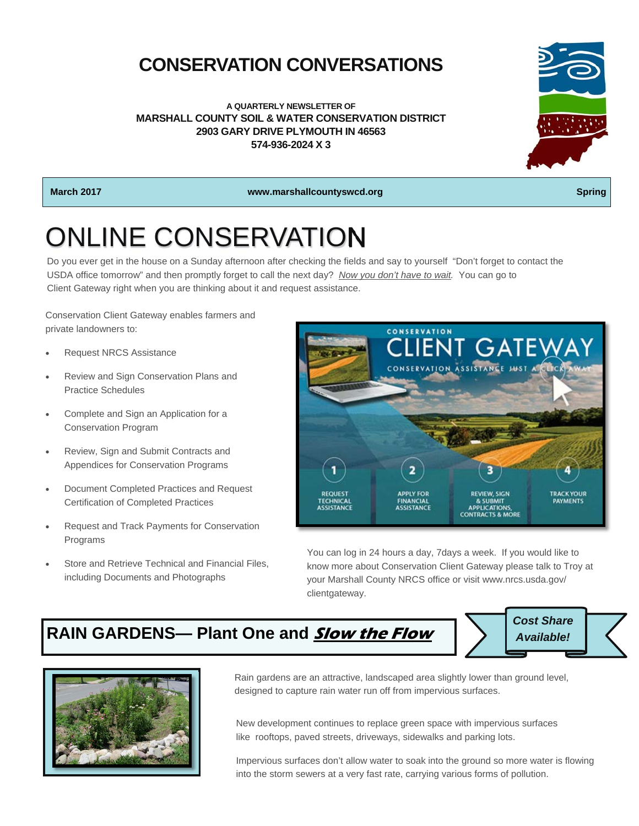# **CONSERVATION CONVERSATIONS**

**A QUARTERLY NEWSLETTER OF MARSHALL COUNTY SOIL & WATER CONSERVATION DISTRICT 2903 GARY DRIVE PLYMOUTH IN 46563 574-936-2024 X 3** 



**March 2017** Spring Community Community Community West Article Community Community Community Community Community Community Community Community Community Community Community Community Community Community Community Community

# ONLINE CONSERVATION

Do you ever get in the house on a Sunday afternoon after checking the fields and say to yourself "Don't forget to contact the USDA office tomorrow" and then promptly forget to call the next day? *Now you don't have to wait.* You can go to Client Gateway right when you are thinking about it and request assistance.

Conservation Client Gateway enables farmers and private landowners to:

- Request NRCS Assistance
- Review and Sign Conservation Plans and Practice Schedules
- Complete and Sign an Application for a Conservation Program
- Review, Sign and Submit Contracts and Appendices for Conservation Programs
- Document Completed Practices and Request Certification of Completed Practices
- Request and Track Payments for Conservation Programs
- Store and Retrieve Technical and Financial Files, including Documents and Photographs

CONSERVATION **LIENT GATEV** CONSERVATION ASSISTANCE JUST A CO **TRACK YOUR REVIEW, SIGN REQUES** PAYMENTS & SUBMIT<br>APPLICATIONS **FINANCIAL**<br>ASSISTANCE **CONTRACTS & MORE** 

You can log in 24 hours a day, 7days a week. If you would like to know more about Conservation Client Gateway please talk to Troy at your Marshall County NRCS office or visit www.nrcs.usda.gov/ clientgateway.

## **RAIN GARDENS— Plant One and Slow the Flow**



Rain gardens are an attractive, landscaped area slightly lower than ground level, designed to capture rain water run off from impervious surfaces.

New development continues to replace green space with impervious surfaces like rooftops, paved streets, driveways, sidewalks and parking lots.

Impervious surfaces don't allow water to soak into the ground so more water is flowing into the storm sewers at a very fast rate, carrying various forms of pollution.